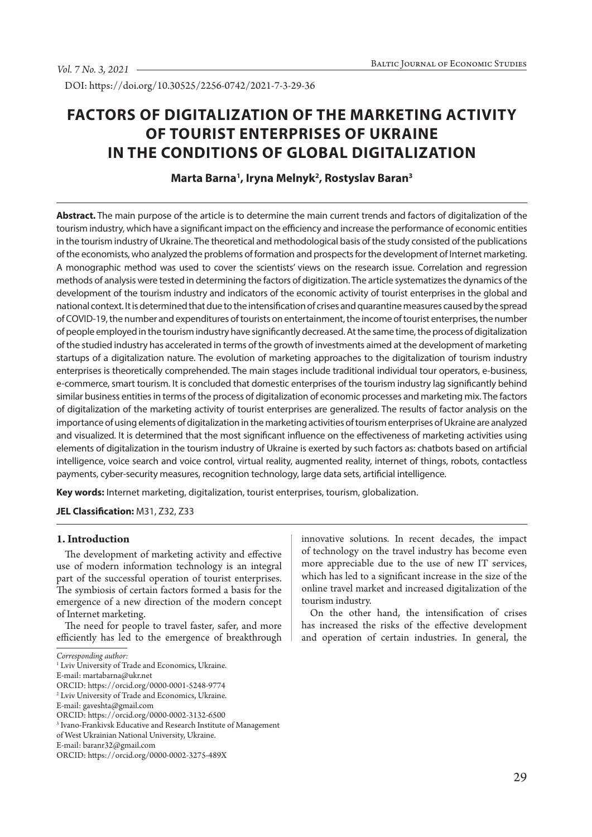DOI: https://doi.org/10.30525/2256-0742/2021-7-3-29-36

# **FACTORS OF DIGITALIZATION OF THE MARKETING ACTIVITY OF TOURIST ENTERPRISES OF UKRAINE IN THE CONDITIONS OF GLOBAL DIGITALIZATION**

## **Marta Barna1 , Iryna Melnyk2 , Rostyslav Baran3**

**Abstract.** The main purpose of the article is to determine the main current trends and factors of digitalization of the tourism industry, which have a significant impact on the efficiency and increase the performance of economic entities in the tourism industry of Ukraine. The theoretical and methodological basis of the study consisted of the publications of the economists, who analyzed the problems of formation and prospects for the development of Internet marketing. A monographic method was used to cover the scientists' views on the research issue. Correlation and regression methods of analysis were tested in determining the factors of digitization. The article systematizes the dynamics of the development of the tourism industry and indicators of the economic activity of tourist enterprises in the global and national context. It is determined that due to the intensification of crises and quarantine measures caused by the spread of СOVID-19, the number and expenditures of tourists on entertainment, the income of tourist enterprises, the number of people employed in the tourism industry have significantly decreased. At the same time, the process of digitalization of the studied industry has accelerated in terms of the growth of investments aimed at the development of marketing startups of a digitalization nature. The evolution of marketing approaches to the digitalization of tourism industry enterprises is theoretically comprehended. The main stages include traditional individual tour operators, e-business, e-commerce, smart tourism. It is concluded that domestic enterprises of the tourism industry lag significantly behind similar business entities in terms of the process of digitalization of economic processes and marketing mix. The factors of digitalization of the marketing activity of tourist enterprises are generalized. The results of factor analysis on the importance of using elements of digitalization in the marketing activities of tourism enterprises of Ukraine are analyzed and visualized. It is determined that the most significant influence on the effectiveness of marketing activities using elements of digitalization in the tourism industry of Ukraine is exerted by such factors as: chatbots based on artificial intelligence, voice search and voice control, virtual reality, augmented reality, internet of things, robots, contactless payments, cyber-security measures, recognition technology, large data sets, artificial intelligence.

**Key words:** Internet marketing, digitalization, tourist enterprises, tourism, globalization.

**JEL Classification:** M31, Z32, Z33

## **1. Introduction**

The development of marketing activity and effective use of modern information technology is an integral part of the successful operation of tourist enterprises. The symbiosis of certain factors formed a basis for the emergence of a new direction of the modern concept of Internet marketing.

The need for people to travel faster, safer, and more efficiently has led to the emergence of breakthrough innovative solutions. In recent decades, the impact of technology on the travel industry has become even more appreciable due to the use of new IT services, which has led to a significant increase in the size of the online travel market and increased digitalization of the tourism industry.

On the other hand, the intensification of crises has increased the risks of the effective development and operation of certain industries. In general, the

*Corresponding author:*

<sup>&</sup>lt;sup>1</sup> Lviv University of Trade and Economics, Ukraine.

E-mail: martabarna@ukr.net

ORCID: https://orcid.org/0000-0001-5248-9774

<sup>2</sup> Lviv University of Trade and Economics, Ukraine.

E-mail: gaveshta@gmail.com

ORCID: https://orcid.org/0000-0002-3132-6500

<sup>3</sup> Ivano-Frankivsk Educative and Research Institute of Management

of West Ukrainian National University, Ukraine.

E-mail: baranr32@gmail.com

ORCID: https://orcid.org/0000-0002-3275-489X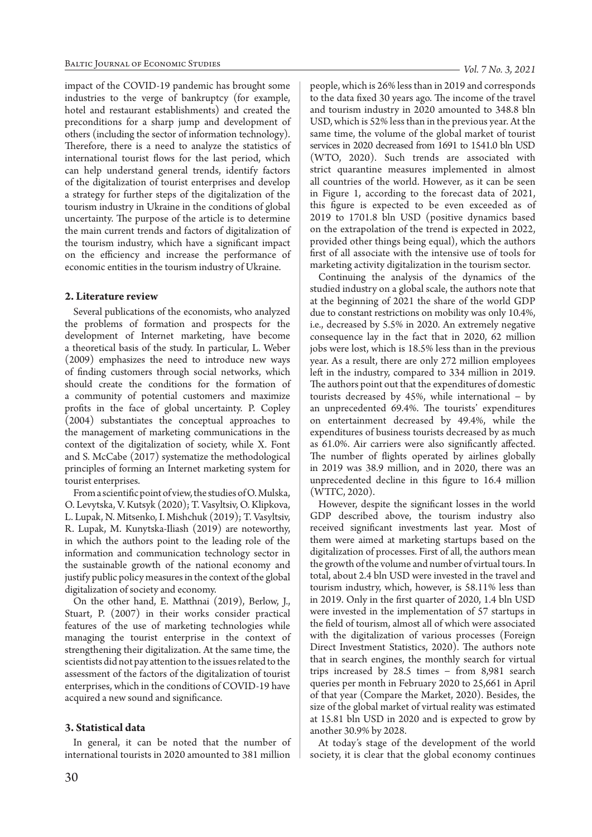impact of the COVID-19 pandemic has brought some industries to the verge of bankruptcy (for example, hotel and restaurant establishments) and created the preconditions for a sharp jump and development of others (including the sector of information technology). Therefore, there is a need to analyze the statistics of international tourist flows for the last period, which can help understand general trends, identify factors of the digitalization of tourist enterprises and develop a strategy for further steps of the digitalization of the tourism industry in Ukraine in the conditions of global uncertainty. The purpose of the article is to determine the main current trends and factors of digitalization of the tourism industry, which have a significant impact on the efficiency and increase the performance of economic entities in the tourism industry of Ukraine.

## **2. Literature review**

Several publications of the economists, who analyzed the problems of formation and prospects for the development of Internet marketing, have become a theoretical basis of the study. In particular, L. Weber (2009) emphasizes the need to introduce new ways of finding customers through social networks, which should create the conditions for the formation of a community of potential customers and maximize profits in the face of global uncertainty. P. Copley (2004) substantiates the conceptual approaches to the management of marketing communications in the context of the digitalization of society, while X. Font and S. McCabe (2017) systematize the methodological principles of forming an Internet marketing system for tourist enterprises.

From a scientific point of view, the studies of O. Mulska, O. Levytska, V. Kutsyk (2020); T. Vasyltsiv, O. Klipkova, L. Lupak, N. Mitsenko, I. Mishchuk (2019); T. Vasyltsiv, R. Lupak, M. Kunytska-Iliash (2019) are noteworthy, in which the authors point to the leading role of the information and communication technology sector in the sustainable growth of the national economy and justify public policy measures in the context of the global digitalization of society and economy.

On the other hand, E. Matthnai (2019), Berlow, J., Stuart, P. (2007) in their works consider practical features of the use of marketing technologies while managing the tourist enterprise in the context of strengthening their digitalization. At the same time, the scientists did not pay attention to the issues related to the assessment of the factors of the digitalization of tourist enterprises, which in the conditions of COVID-19 have acquired a new sound and significance.

## **3. Statistical data**

In general, it can be noted that the number of international tourists in 2020 amounted to 381 million

people, which is 26% less than in 2019 and corresponds to the data fixed 30 years ago. The income of the travel and tourism industry in 2020 amounted to 348.8 bln USD, which is 52% less than in the previous year. At the same time, the volume of the global market of tourist services in 2020 decreased from 1691 to 1541.0 bln USD (WTO, 2020). Such trends are associated with strict quarantine measures implemented in almost all countries of the world. However, as it can be seen in Figure 1, according to the forecast data of 2021, this figure is expected to be even exceeded as of 2019 to 1701.8 bln USD (positive dynamics based on the extrapolation of the trend is expected in 2022, provided other things being equal), which the authors first of all associate with the intensive use of tools for marketing activity digitalization in the tourism sector.

Continuing the analysis of the dynamics of the studied industry on a global scale, the authors note that at the beginning of 2021 the share of the world GDP due to constant restrictions on mobility was only 10.4%, i.e., decreased by 5.5% in 2020. An extremely negative consequence lay in the fact that in 2020, 62 million jobs were lost, which is 18.5% less than in the previous year. As a result, there are only 272 million employees left in the industry, compared to 334 million in 2019. The authors point out that the expenditures of domestic tourists decreased by 45%, while international − by an unprecedented 69.4%. The tourists' expenditures on entertainment decreased by 49.4%, while the expenditures of business tourists decreased by as much as 61.0%. Air carriers were also significantly affected. The number of flights operated by airlines globally in 2019 was 38.9 million, and in 2020, there was an unprecedented decline in this figure to 16.4 million  $(WTTC, 2020)$ .

However, despite the significant losses in the world GDP described above, the tourism industry also received significant investments last year. Most of them were aimed at marketing startups based on the digitalization of processes. First of all, the authors mean the growth of the volume and number of virtual tours. In total, about 2.4 bln USD were invested in the travel and tourism industry, which, however, is 58.11% less than in 2019. Only in the first quarter of 2020, 1.4 bln USD were invested in the implementation of 57 startups in the field of tourism, almost all of which were associated with the digitalization of various processes (Foreign Direct Investment Statistics, 2020). The authors note that in search engines, the monthly search for virtual trips increased by 28.5 times − from 8,981 search queries per month in February 2020 to 25,661 in April of that year (Compare the Market, 2020). Besides, the size of the global market of virtual reality was estimated at 15.81 bln USD in 2020 and is expected to grow by another 30.9% by 2028.

At today's stage of the development of the world society, it is clear that the global economy continues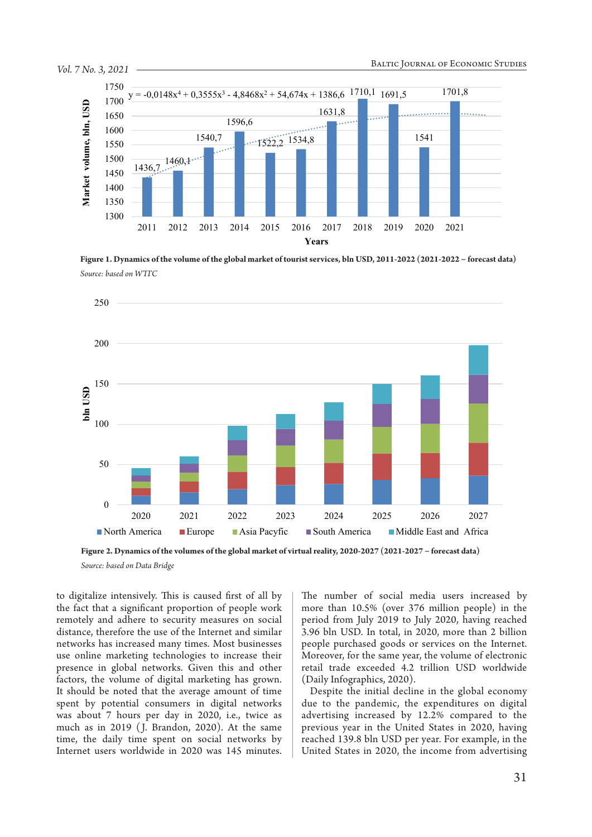

**Figure 1. Dynamics of the volume of the global market of tourist services, bln USD, 2011-2022 (2021-2022 − forecast data)** *Source: based on WTTC*



**Figure 2. Dynamics of the volumes of the global market of virtual reality, 2020-2027 (2021-2027 − forecast data)**

*Source: based on Data Bridge*

to digitalize intensively. This is caused first of all by the fact that a significant proportion of people work remotely and adhere to security measures on social distance, therefore the use of the Internet and similar networks has increased many times. Most businesses use online marketing technologies to increase their presence in global networks. Given this and other factors, the volume of digital marketing has grown. It should be noted that the average amount of time spent by potential consumers in digital networks was about 7 hours per day in 2020, i.e., twice as much as in 2019 ( J. Brandon, 2020). At the same time, the daily time spent on social networks by Internet users worldwide in 2020 was 145 minutes. The number of social media users increased by more than 10.5% (over 376 million people) in the period from July 2019 to July 2020, having reached 3.96 bln USD. In total, in 2020, more than 2 billion people purchased goods or services on the Internet. Moreover, for the same year, the volume of electronic retail trade exceeded 4.2 trillion USD worldwide (Daily Infographics, 2020).

Despite the initial decline in the global economy due to the pandemic, the expenditures on digital advertising increased by 12.2% compared to the previous year in the United States in 2020, having reached 139.8 bln USD per year. For example, in the United States in 2020, the income from advertising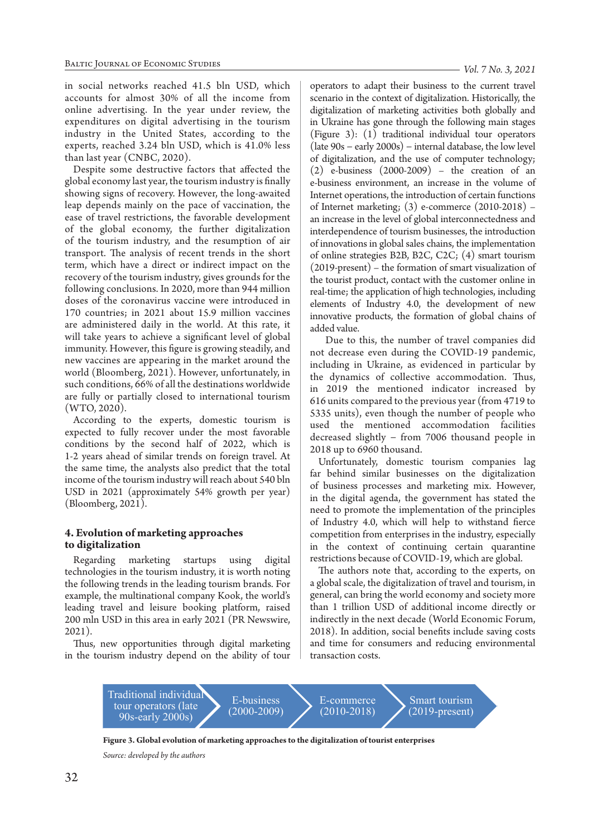in social networks reached 41.5 bln USD, which accounts for almost 30% of all the income from online advertising. In the year under review, the expenditures on digital advertising in the tourism industry in the United States, according to the experts, reached 3.24 bln USD, which is 41.0% less than last year (CNBC, 2020).

Despite some destructive factors that affected the global economy last year, the tourism industry is finally showing signs of recovery. However, the long-awaited leap depends mainly on the pace of vaccination, the ease of travel restrictions, the favorable development of the global economy, the further digitalization of the tourism industry, and the resumption of air transport. The analysis of recent trends in the short term, which have a direct or indirect impact on the recovery of the tourism industry, gives grounds for the following conclusions. In 2020, more than 944 million doses of the coronavirus vaccine were introduced in 170 countries; in 2021 about 15.9 million vaccines are administered daily in the world. At this rate, it will take years to achieve a significant level of global immunity. However, this figure is growing steadily, and new vaccines are appearing in the market around the world (Bloomberg, 2021). However, unfortunately, in such conditions, 66% of all the destinations worldwide are fully or partially closed to international tourism (WTO, 2020).

According to the experts, domestic tourism is expected to fully recover under the most favorable conditions by the second half of 2022, which is 1-2 years ahead of similar trends on foreign travel. At the same time, the analysts also predict that the total income of the tourism industry will reach about 540 bln USD in 2021 (approximately 54% growth per year) (Bloomberg, 2021).

## **4. Evolution of marketing approaches to digitalization**

Regarding marketing startups using digital technologies in the tourism industry, it is worth noting the following trends in the leading tourism brands. For example, the multinational company Kook, the world's leading travel and leisure booking platform, raised 200 mln USD in this area in early 2021 (PR Newswire, 2021).

Thus, new opportunities through digital marketing in the tourism industry depend on the ability of tour

operators to adapt their business to the current travel scenario in the context of digitalization. Historically, the digitalization of marketing activities both globally and in Ukraine has gone through the following main stages (Figure 3): (1) traditional individual tour operators (late 90s − early 2000s) − internal database, the low level of digitalization, and the use of computer technology; (2) e-business (2000-2009) – the creation of an e-business environment, an increase in the volume of Internet operations, the introduction of certain functions of Internet marketing; (3) e-commerce (2010-2018) – an increase in the level of global interconnectedness and interdependence of tourism businesses, the introduction of innovations in global sales chains, the implementation of online strategies B2B, B2C, C2C; (4) smart tourism (2019-present) – the formation of smart visualization of the tourist product, contact with the customer online in real-time; the application of high technologies, including elements of Industry 4.0, the development of new innovative products, the formation of global chains of added value.

 Due to this, the number of travel companies did not decrease even during the COVID-19 pandemic, including in Ukraine, as evidenced in particular by the dynamics of collective accommodation. Thus, in 2019 the mentioned indicator increased by 616 units compared to the previous year (from 4719 to 5335 units), even though the number of people who used the mentioned accommodation facilities decreased slightly − from 7006 thousand people in 2018 up to 6960 thousand.

Unfortunately, domestic tourism companies lag far behind similar businesses on the digitalization of business processes and marketing mix. However, in the digital agenda, the government has stated the need to promote the implementation of the principles of Industry 4.0, which will help to withstand fierce competition from enterprises in the industry, especially in the context of continuing certain quarantine restrictions because of COVID-19, which are global.

The authors note that, according to the experts, on a global scale, the digitalization of travel and tourism, in general, can bring the world economy and society more than 1 trillion USD of additional income directly or indirectly in the next decade (World Economic Forum, 2018). In addition, social benefits include saving costs and time for consumers and reducing environmental transaction costs.



**Figure 3. Global evolution of marketing approaches to the digitalization of tourist enterprises**

*Source: developed by the authors*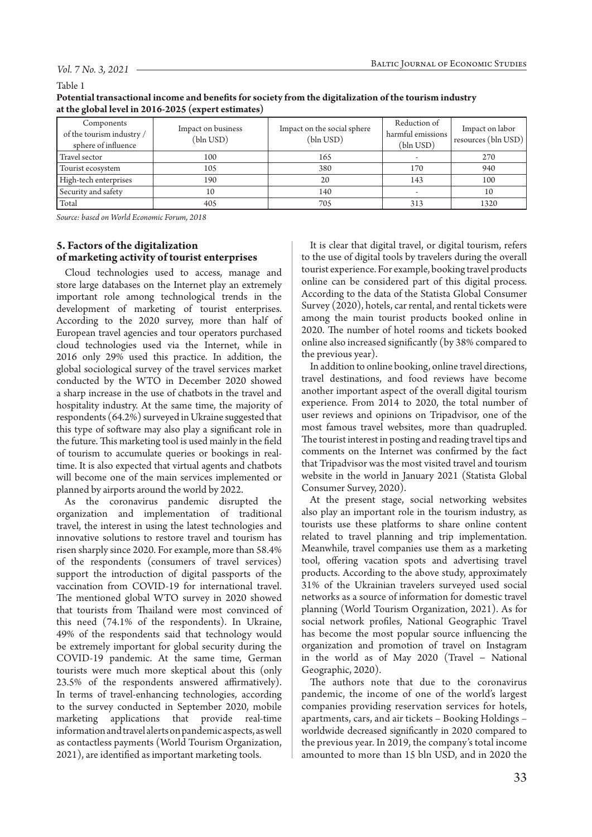#### *Vol. 7 No. 3, 2021*

#### Table 1

| Potential transactional income and benefits for society from the digitalization of the tourism industry |
|---------------------------------------------------------------------------------------------------------|
| at the global level in 2016-2025 (expert estimates)                                                     |

| Components<br>of the tourism industry /<br>sphere of influence | Impact on business<br>(bln USD) | Impact on the social sphere<br>(bln USD) | Reduction of<br>harmful emissions<br>(bln USD) | Impact on labor<br>resources (bln USD) |
|----------------------------------------------------------------|---------------------------------|------------------------------------------|------------------------------------------------|----------------------------------------|
| Travel sector                                                  | 100                             | 165                                      |                                                | 270                                    |
| Tourist ecosystem                                              | 105                             | 380                                      | 170                                            | 940                                    |
| High-tech enterprises                                          | 190                             | 20                                       | 143                                            | 100                                    |
| Security and safety                                            | 10                              | 140                                      |                                                | 10                                     |
| Total                                                          | 405                             | 705                                      | 313                                            | 1320                                   |

*Source: based on World Economic Forum, 2018*

# **5. Factors of the digitalization of marketing activity of tourist enterprises**

Cloud technologies used to access, manage and store large databases on the Internet play an extremely important role among technological trends in the development of marketing of tourist enterprises. According to the 2020 survey, more than half of European travel agencies and tour operators purchased cloud technologies used via the Internet, while in 2016 only 29% used this practice. In addition, the global sociological survey of the travel services market conducted by the WTO in December 2020 showed a sharp increase in the use of chatbots in the travel and hospitality industry. At the same time, the majority of respondents (64.2%) surveyed in Ukraine suggested that this type of software may also play a significant role in the future. This marketing tool is used mainly in the field of tourism to accumulate queries or bookings in realtime. It is also expected that virtual agents and chatbots will become one of the main services implemented or planned by airports around the world by 2022.

As the coronavirus pandemic disrupted the organization and implementation of traditional travel, the interest in using the latest technologies and innovative solutions to restore travel and tourism has risen sharply since 2020. For example, more than 58.4% of the respondents (consumers of travel services) support the introduction of digital passports of the vaccination from COVID-19 for international travel. The mentioned global WTO survey in 2020 showed that tourists from Thailand were most convinced of this need (74.1% of the respondents). In Ukraine, 49% of the respondents said that technology would be extremely important for global security during the COVID-19 pandemic. At the same time, German tourists were much more skeptical about this (only 23.5% of the respondents answered affirmatively). In terms of travel-enhancing technologies, according to the survey conducted in September 2020, mobile marketing applications that provide real-time information and travel alerts on pandemic aspects, as well as contactless payments (World Tourism Organization, 2021), are identified as important marketing tools.

It is clear that digital travel, or digital tourism, refers to the use of digital tools by travelers during the overall tourist experience. For example, booking travel products online can be considered part of this digital process. According to the data of the Statista Global Consumer Survey (2020), hotels, car rental, and rental tickets were among the main tourist products booked online in 2020. The number of hotel rooms and tickets booked online also increased significantly (by 38% compared to the previous year).

In addition to online booking, online travel directions, travel destinations, and food reviews have become another important aspect of the overall digital tourism experience. From 2014 to 2020, the total number of user reviews and opinions on Tripadvisor, one of the most famous travel websites, more than quadrupled. The tourist interest in posting and reading travel tips and comments on the Internet was confirmed by the fact that Tripadvisor was the most visited travel and tourism website in the world in January 2021 (Statista Global Consumer Survey, 2020).

At the present stage, social networking websites also play an important role in the tourism industry, as tourists use these platforms to share online content related to travel planning and trip implementation. Meanwhile, travel companies use them as a marketing tool, offering vacation spots and advertising travel products. According to the above study, approximately 31% of the Ukrainian travelers surveyed used social networks as a source of information for domestic travel planning (World Tourism Organization, 2021). As for social network profiles, National Geographic Travel has become the most popular source influencing the organization and promotion of travel on Instagram in the world as of May 2020 (Travel − National Geographic, 2020).

The authors note that due to the coronavirus pandemic, the income of one of the world's largest companies providing reservation services for hotels, apartments, cars, and air tickets – Booking Holdings – worldwide decreased significantly in 2020 compared to the previous year. In 2019, the company's total income amounted to more than 15 bln USD, and in 2020 the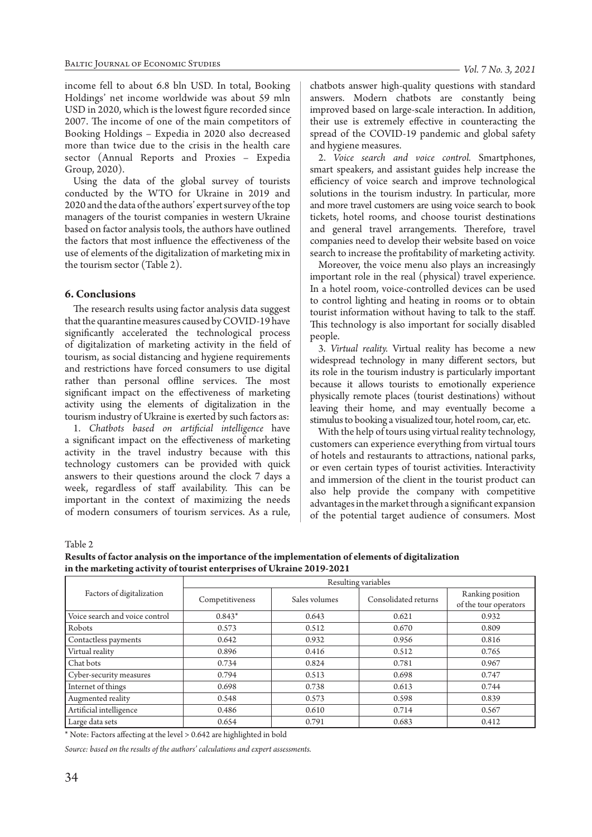income fell to about 6.8 bln USD. In total, Booking Holdings' net income worldwide was about 59 mln USD in 2020, which is the lowest figure recorded since 2007. The income of one of the main competitors of Booking Holdings – Expedia in 2020 also decreased more than twice due to the crisis in the health care sector (Annual Reports and Proxies – Expedia Group, 2020).

Using the data of the global survey of tourists conducted by the WTO for Ukraine in 2019 and 2020 and the data of the authors' expert survey of the top managers of the tourist companies in western Ukraine based on factor analysis tools, the authors have outlined the factors that most influence the effectiveness of the use of elements of the digitalization of marketing mix in the tourism sector (Table 2).

#### **6. Conclusions**

The research results using factor analysis data suggest that the quarantine measures caused by СOVID-19 have significantly accelerated the technological process of digitalization of marketing activity in the field of tourism, as social distancing and hygiene requirements and restrictions have forced consumers to use digital rather than personal offline services. The most significant impact on the effectiveness of marketing activity using the elements of digitalization in the tourism industry of Ukraine is exerted by such factors as:

1. *Chatbots based on artificial intelligence* have a significant impact on the effectiveness of marketing activity in the travel industry because with this technology customers can be provided with quick answers to their questions around the clock 7 days a week, regardless of staff availability. This can be important in the context of maximizing the needs of modern consumers of tourism services. As a rule,

chatbots answer high-quality questions with standard answers. Modern chatbots are constantly being improved based on large-scale interaction. In addition, their use is extremely effective in counteracting the spread of the COVID-19 pandemic and global safety and hygiene measures.

2. *Voice search and voice control.* Smartphones, smart speakers, and assistant guides help increase the efficiency of voice search and improve technological solutions in the tourism industry. In particular, more and more travel customers are using voice search to book tickets, hotel rooms, and choose tourist destinations and general travel arrangements. Therefore, travel companies need to develop their website based on voice search to increase the profitability of marketing activity.

Moreover, the voice menu also plays an increasingly important role in the real (physical) travel experience. In a hotel room, voice-controlled devices can be used to control lighting and heating in rooms or to obtain tourist information without having to talk to the staff. This technology is also important for socially disabled people.

3. *Virtual reality.* Virtual reality has become a new widespread technology in many different sectors, but its role in the tourism industry is particularly important because it allows tourists to emotionally experience physically remote places (tourist destinations) without leaving their home, and may eventually become a stimulus to booking a visualized tour, hotel room, car, etc.

With the help of tours using virtual reality technology, customers can experience everything from virtual tours of hotels and restaurants to attractions, national parks, or even certain types of tourist activities. Interactivity and immersion of the client in the tourist product can also help provide the company with competitive advantages in the market through a significant expansion of the potential target audience of consumers. Most

Table 2

**Results of factor analysis on the importance of the implementation of elements of digitalization in the marketing activity of tourist enterprises of Ukraine 2019-2021**

|                                | Resulting variables |               |                      |                                           |  |
|--------------------------------|---------------------|---------------|----------------------|-------------------------------------------|--|
| Factors of digitalization      | Competitiveness     | Sales volumes | Consolidated returns | Ranking position<br>of the tour operators |  |
| Voice search and voice control | $0.843*$            | 0.643         | 0.621                | 0.932                                     |  |
| Robots                         | 0.573               | 0.512         | 0.670                | 0.809                                     |  |
| Contactless payments           | 0.642               | 0.932         | 0.956                | 0.816                                     |  |
| Virtual reality                | 0.896               | 0.416         | 0.512                | 0.765                                     |  |
| Chat bots                      | 0.734               | 0.824         | 0.781                | 0.967                                     |  |
| Cyber-security measures        | 0.794               | 0.513         | 0.698                | 0.747                                     |  |
| Internet of things             | 0.698               | 0.738         | 0.613                | 0.744                                     |  |
| Augmented reality              | 0.548               | 0.573         | 0.598                | 0.839                                     |  |
| Artificial intelligence        | 0.486               | 0.610         | 0.714                | 0.567                                     |  |
| Large data sets                | 0.654               | 0.791         | 0.683                | 0.412                                     |  |

\* Note: Factors affecting at the level > 0.642 are highlighted in bold

*Source: based on the results of the authors' calculations and expert assessments.*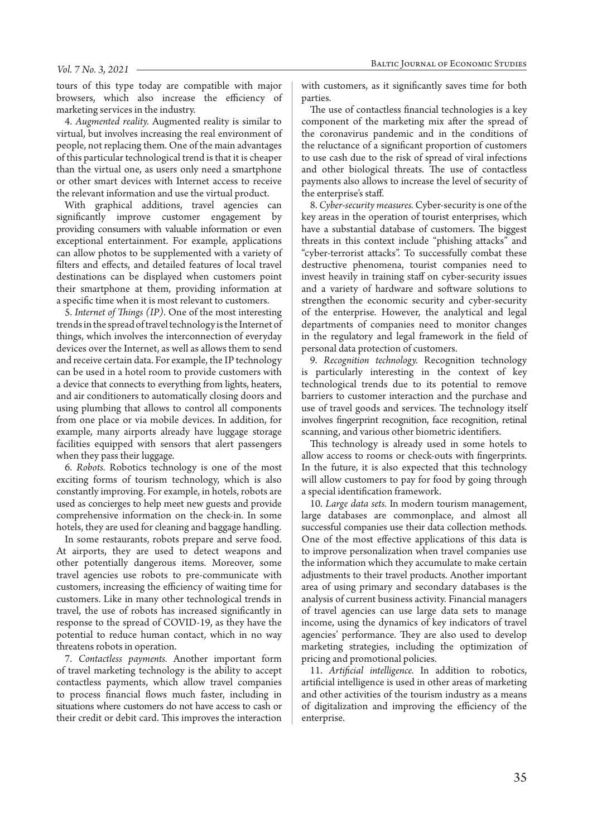#### *Vol. 7 No. 3, 2021*

tours of this type today are compatible with major browsers, which also increase the efficiency of marketing services in the industry.

4. *Augmented reality.* Augmented reality is similar to virtual, but involves increasing the real environment of people, not replacing them. One of the main advantages of this particular technological trend is that it is cheaper than the virtual one, as users only need a smartphone or other smart devices with Internet access to receive the relevant information and use the virtual product.

With graphical additions, travel agencies can significantly improve customer engagement by providing consumers with valuable information or even exceptional entertainment. For example, applications can allow photos to be supplemented with a variety of filters and effects, and detailed features of local travel destinations can be displayed when customers point their smartphone at them, providing information at a specific time when it is most relevant to customers.

5. *Internet of Things (IP)*. One of the most interesting trends in the spread of travel technology is the Internet of things, which involves the interconnection of everyday devices over the Internet, as well as allows them to send and receive certain data. For example, the IP technology can be used in a hotel room to provide customers with a device that connects to everything from lights, heaters, and air conditioners to automatically closing doors and using plumbing that allows to control all components from one place or via mobile devices. In addition, for example, many airports already have luggage storage facilities equipped with sensors that alert passengers when they pass their luggage.

6. *Robots.* Robotics technology is one of the most exciting forms of tourism technology, which is also constantly improving. For example, in hotels, robots are used as concierges to help meet new guests and provide comprehensive information on the check-in. In some hotels, they are used for cleaning and baggage handling.

In some restaurants, robots prepare and serve food. At airports, they are used to detect weapons and other potentially dangerous items. Moreover, some travel agencies use robots to pre-communicate with customers, increasing the efficiency of waiting time for customers. Like in many other technological trends in travel, the use of robots has increased significantly in response to the spread of COVID-19, as they have the potential to reduce human contact, which in no way threatens robots in operation.

7. *Contactless payments.* Another important form of travel marketing technology is the ability to accept contactless payments, which allow travel companies to process financial flows much faster, including in situations where customers do not have access to cash or their credit or debit card. This improves the interaction with customers, as it significantly saves time for both parties.

The use of contactless financial technologies is a key component of the marketing mix after the spread of the coronavirus pandemic and in the conditions of the reluctance of a significant proportion of customers to use cash due to the risk of spread of viral infections and other biological threats. The use of contactless payments also allows to increase the level of security of the enterprise's staff.

8. *Cyber-security measures.* Cyber-security is one of the key areas in the operation of tourist enterprises, which have a substantial database of customers. The biggest threats in this context include "phishing attacks" and "cyber-terrorist attacks". To successfully combat these destructive phenomena, tourist companies need to invest heavily in training staff on cyber-security issues and a variety of hardware and software solutions to strengthen the economic security and cyber-security of the enterprise. However, the analytical and legal departments of companies need to monitor changes in the regulatory and legal framework in the field of personal data protection of customers.

9. *Recognition technology.* Recognition technology is particularly interesting in the context of key technological trends due to its potential to remove barriers to customer interaction and the purchase and use of travel goods and services. The technology itself involves fingerprint recognition, face recognition, retinal scanning, and various other biometric identifiers.

This technology is already used in some hotels to allow access to rooms or check-outs with fingerprints. In the future, it is also expected that this technology will allow customers to pay for food by going through a special identification framework.

10. *Large data sets.* In modern tourism management, large databases are commonplace, and almost all successful companies use their data collection methods. One of the most effective applications of this data is to improve personalization when travel companies use the information which they accumulate to make certain adjustments to their travel products. Another important area of using primary and secondary databases is the analysis of current business activity. Financial managers of travel agencies can use large data sets to manage income, using the dynamics of key indicators of travel agencies' performance. They are also used to develop marketing strategies, including the optimization of pricing and promotional policies.

11. *Artificial intelligence.* In addition to robotics, artificial intelligence is used in other areas of marketing and other activities of the tourism industry as a means of digitalization and improving the efficiency of the enterprise.